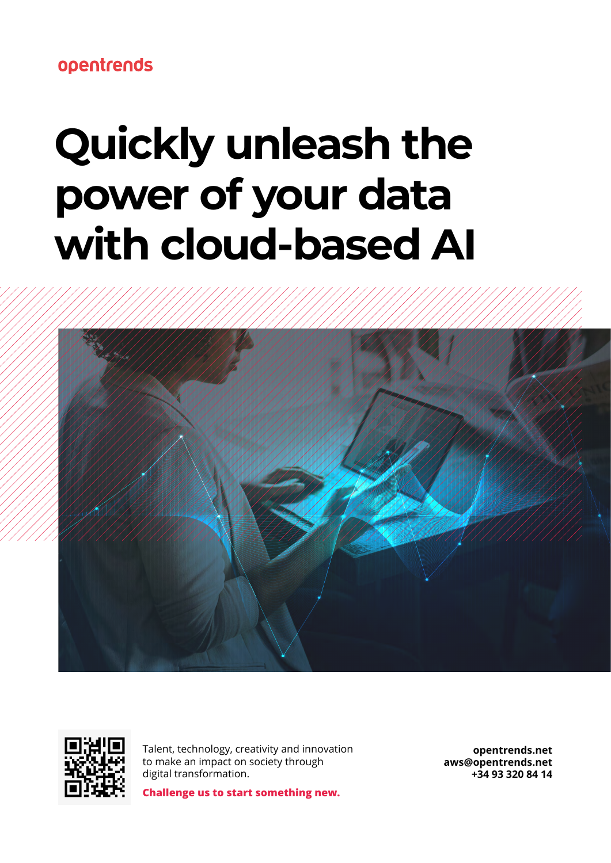opentrends

# **Quickly unleash the power of your data with cloud-based AI**





Talent, technology, creativity and innovation to make an impact on society through digital transformation.

**Challenge us to start something new.** 

**[opentrends.net](http://opentrends.net ) [aws@opentrends.net](mailto:aws%40opentrends.net%20?subject=) +34 93 320 84 14**